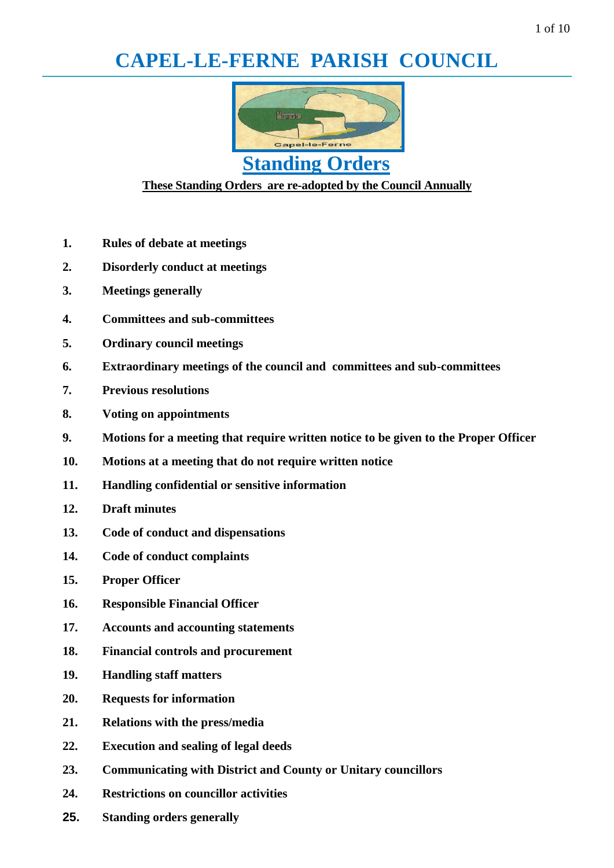# **CAPEL-LE-FERNE PARISH COUNCIL**



# **Standing Orders**

# **These Standing Orders are re-adopted by the Council Annually**

- **1. Rules of debate at meetings**
- **2. Disorderly conduct at meetings**
- **3. Meetings generally**
- **4. Committees and sub-committees**
- **5. Ordinary council meetings**
- **6. Extraordinary meetings of the council and committees and sub-committees**
- **7. Previous resolutions**
- **8. Voting on appointments**
- **9. Motions for a meeting that require written notice to be given to the Proper Officer**
- **10. Motions at a meeting that do not require written notice**
- **11. Handling confidential or sensitive information**
- **12. Draft minutes**
- **13. Code of conduct and dispensations**
- **14. Code of conduct complaints**
- **15. Proper Officer**
- **16. Responsible Financial Officer**
- **17. Accounts and accounting statements**
- **18. Financial controls and procurement**
- **19. Handling staff matters**
- **20. Requests for information**
- **21. Relations with the press/media**
- **22. Execution and sealing of legal deeds**
- **23. Communicating with District and County or Unitary councillors**
- **24. Restrictions on councillor activities**
- **25. Standing orders generally**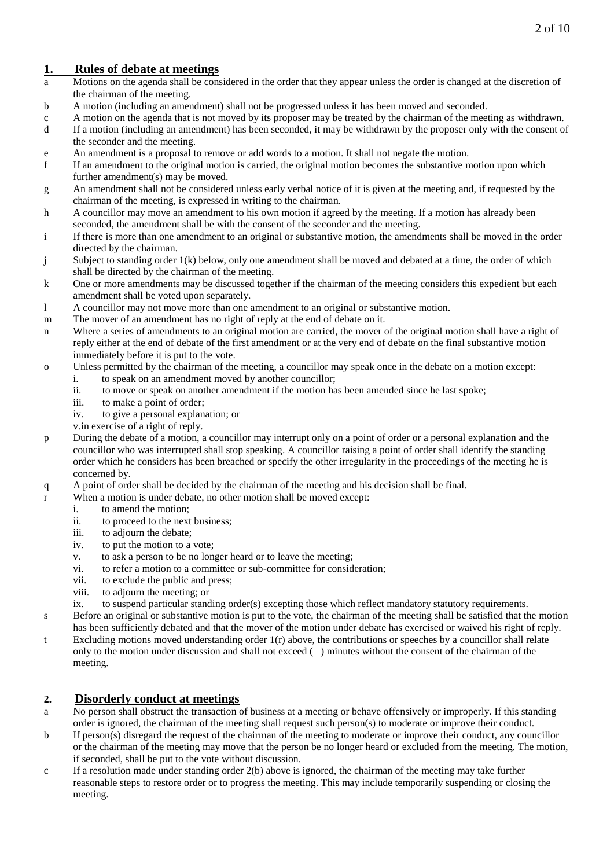# **1. Rules of debate at meetings**

- a Motions on the agenda shall be considered in the order that they appear unless the order is changed at the discretion of the chairman of the meeting.
- b A motion (including an amendment) shall not be progressed unless it has been moved and seconded.
- c A motion on the agenda that is not moved by its proposer may be treated by the chairman of the meeting as withdrawn.
- d If a motion (including an amendment) has been seconded, it may be withdrawn by the proposer only with the consent of the seconder and the meeting.
- e An amendment is a proposal to remove or add words to a motion. It shall not negate the motion.
- f If an amendment to the original motion is carried, the original motion becomes the substantive motion upon which further amendment(s) may be moved.
- g An amendment shall not be considered unless early verbal notice of it is given at the meeting and, if requested by the chairman of the meeting, is expressed in writing to the chairman.
- h A councillor may move an amendment to his own motion if agreed by the meeting. If a motion has already been seconded, the amendment shall be with the consent of the seconder and the meeting.
- i If there is more than one amendment to an original or substantive motion, the amendments shall be moved in the order directed by the chairman.
- j Subject to standing order 1(k) below, only one amendment shall be moved and debated at a time, the order of which shall be directed by the chairman of the meeting.
- k One or more amendments may be discussed together if the chairman of the meeting considers this expedient but each amendment shall be voted upon separately.
- l A councillor may not move more than one amendment to an original or substantive motion.
- m The mover of an amendment has no right of reply at the end of debate on it.
- n Where a series of amendments to an original motion are carried, the mover of the original motion shall have a right of reply either at the end of debate of the first amendment or at the very end of debate on the final substantive motion immediately before it is put to the vote.
- o Unless permitted by the chairman of the meeting, a councillor may speak once in the debate on a motion except:
	- i. to speak on an amendment moved by another councillor;
	- ii. to move or speak on another amendment if the motion has been amended since he last spoke;
	- iii. to make a point of order;
	- iv. to give a personal explanation; or
	- v.in exercise of a right of reply.
- p During the debate of a motion, a councillor may interrupt only on a point of order or a personal explanation and the councillor who was interrupted shall stop speaking. A councillor raising a point of order shall identify the standing order which he considers has been breached or specify the other irregularity in the proceedings of the meeting he is concerned by.
- q A point of order shall be decided by the chairman of the meeting and his decision shall be final.
- r When a motion is under debate, no other motion shall be moved except:
	- i. to amend the motion;
	- ii. to proceed to the next business;
	- iii. to adjourn the debate;
	- iv. to put the motion to a vote;
	- v. to ask a person to be no longer heard or to leave the meeting;
	- vi. to refer a motion to a committee or sub-committee for consideration;
	- vii. to exclude the public and press;
	- viii. to adjourn the meeting; or
	- ix. to suspend particular standing order(s) excepting those which reflect mandatory statutory requirements.
- s Before an original or substantive motion is put to the vote, the chairman of the meeting shall be satisfied that the motion has been sufficiently debated and that the mover of the motion under debate has exercised or waived his right of reply.
- t Excluding motions moved understanding order 1(r) above, the contributions or speeches by a councillor shall relate only to the motion under discussion and shall not exceed ( ) minutes without the consent of the chairman of the meeting.

## **2. Disorderly conduct at meetings**

- a No person shall obstruct the transaction of business at a meeting or behave offensively or improperly. If this standing order is ignored, the chairman of the meeting shall request such person(s) to moderate or improve their conduct.
- b If person(s) disregard the request of the chairman of the meeting to moderate or improve their conduct, any councillor or the chairman of the meeting may move that the person be no longer heard or excluded from the meeting. The motion, if seconded, shall be put to the vote without discussion.
- c If a resolution made under standing order 2(b) above is ignored, the chairman of the meeting may take further reasonable steps to restore order or to progress the meeting. This may include temporarily suspending or closing the meeting.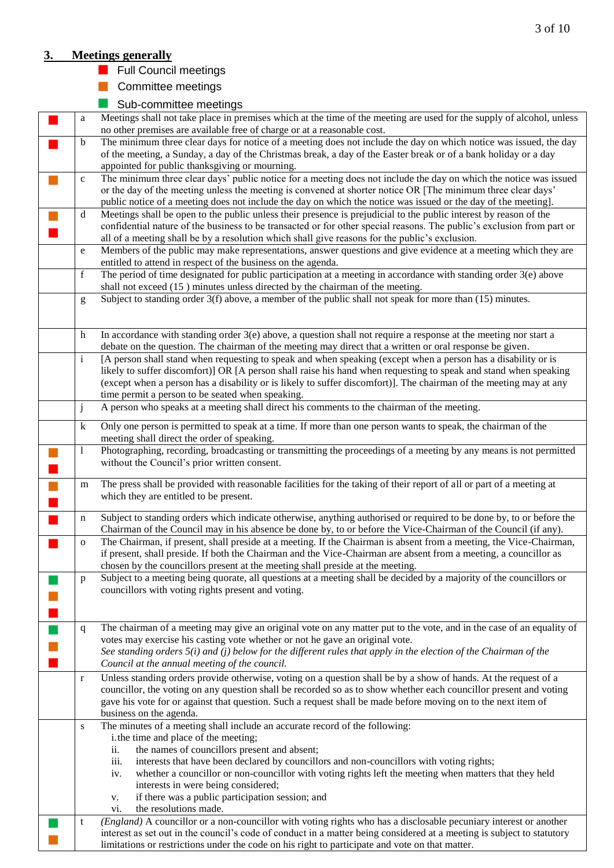# **3. Meetings generally**

- **Full Council meetings**
- **Committee meetings**
- Sub-committee meetings

| a            | Meetings shall not take place in premises which at the time of the meeting are used for the supply of alcohol, unless<br>no other premises are available free of charge or at a reasonable cost.                          |
|--------------|---------------------------------------------------------------------------------------------------------------------------------------------------------------------------------------------------------------------------|
| b            | The minimum three clear days for notice of a meeting does not include the day on which notice was issued, the day                                                                                                         |
|              | of the meeting, a Sunday, a day of the Christmas break, a day of the Easter break or of a bank holiday or a day                                                                                                           |
|              | appointed for public thanksgiving or mourning.                                                                                                                                                                            |
| $\mathbf{C}$ | The minimum three clear days' public notice for a meeting does not include the day on which the notice was issued                                                                                                         |
|              | or the day of the meeting unless the meeting is convened at shorter notice OR [The minimum three clear days'                                                                                                              |
|              | public notice of a meeting does not include the day on which the notice was issued or the day of the meeting].                                                                                                            |
| d            | Meetings shall be open to the public unless their presence is prejudicial to the public interest by reason of the                                                                                                         |
|              | confidential nature of the business to be transacted or for other special reasons. The public's exclusion from part or                                                                                                    |
|              | all of a meeting shall be by a resolution which shall give reasons for the public's exclusion.                                                                                                                            |
| $\mathbf e$  | Members of the public may make representations, answer questions and give evidence at a meeting which they are                                                                                                            |
|              | entitled to attend in respect of the business on the agenda.                                                                                                                                                              |
| $\mathbf f$  | The period of time designated for public participation at a meeting in accordance with standing order 3(e) above                                                                                                          |
|              | shall not exceed (15) minutes unless directed by the chairman of the meeting.                                                                                                                                             |
| g            | Subject to standing order $3(f)$ above, a member of the public shall not speak for more than $(15)$ minutes.                                                                                                              |
|              |                                                                                                                                                                                                                           |
|              |                                                                                                                                                                                                                           |
| h            | In accordance with standing order 3(e) above, a question shall not require a response at the meeting nor start a                                                                                                          |
|              | debate on the question. The chairman of the meeting may direct that a written or oral response be given.                                                                                                                  |
| $\mathbf{i}$ | [A person shall stand when requesting to speak and when speaking (except when a person has a disability or is                                                                                                             |
|              | likely to suffer discomfort)] OR [A person shall raise his hand when requesting to speak and stand when speaking                                                                                                          |
|              | (except when a person has a disability or is likely to suffer discomfort)]. The chairman of the meeting may at any                                                                                                        |
|              | time permit a person to be seated when speaking.                                                                                                                                                                          |
| j            | A person who speaks at a meeting shall direct his comments to the chairman of the meeting.                                                                                                                                |
| k            | Only one person is permitted to speak at a time. If more than one person wants to speak, the chairman of the                                                                                                              |
|              | meeting shall direct the order of speaking.                                                                                                                                                                               |
| $\mathbf{1}$ | Photographing, recording, broadcasting or transmitting the proceedings of a meeting by any means is not permitted                                                                                                         |
|              | without the Council's prior written consent.                                                                                                                                                                              |
| m            | The press shall be provided with reasonable facilities for the taking of their report of all or part of a meeting at                                                                                                      |
|              | which they are entitled to be present.                                                                                                                                                                                    |
|              |                                                                                                                                                                                                                           |
| n            | Subject to standing orders which indicate otherwise, anything authorised or required to be done by, to or before the                                                                                                      |
|              | Chairman of the Council may in his absence be done by, to or before the Vice-Chairman of the Council (if any).                                                                                                            |
| $\mathbf{O}$ | The Chairman, if present, shall preside at a meeting. If the Chairman is absent from a meeting, the Vice-Chairman,                                                                                                        |
|              | if present, shall preside. If both the Chairman and the Vice-Chairman are absent from a meeting, a councillor as                                                                                                          |
|              | chosen by the councillors present at the meeting shall preside at the meeting.                                                                                                                                            |
| p            | Subject to a meeting being quorate, all questions at a meeting shall be decided by a majority of the councillors or                                                                                                       |
|              | councillors with voting rights present and voting.                                                                                                                                                                        |
|              |                                                                                                                                                                                                                           |
|              |                                                                                                                                                                                                                           |
| $\mathbf{q}$ | The chairman of a meeting may give an original vote on any matter put to the vote, and in the case of an equality of                                                                                                      |
|              | votes may exercise his casting vote whether or not he gave an original vote.                                                                                                                                              |
|              | See standing orders $5(i)$ and (j) below for the different rules that apply in the election of the Chairman of the                                                                                                        |
|              | Council at the annual meeting of the council.                                                                                                                                                                             |
| $\bf r$      | Unless standing orders provide otherwise, voting on a question shall be by a show of hands. At the request of a                                                                                                           |
|              | councillor, the voting on any question shall be recorded so as to show whether each councillor present and voting                                                                                                         |
|              | gave his vote for or against that question. Such a request shall be made before moving on to the next item of                                                                                                             |
|              | business on the agenda.                                                                                                                                                                                                   |
| S            | The minutes of a meeting shall include an accurate record of the following:                                                                                                                                               |
|              | i. the time and place of the meeting;                                                                                                                                                                                     |
|              | the names of councillors present and absent;<br>ii.                                                                                                                                                                       |
|              | interests that have been declared by councillors and non-councillors with voting rights;<br>iii.                                                                                                                          |
|              | whether a councillor or non-councillor with voting rights left the meeting when matters that they held<br>iv.                                                                                                             |
|              | interests in were being considered;                                                                                                                                                                                       |
|              | if there was a public participation session; and<br>v.<br>the resolutions made.                                                                                                                                           |
|              | vi.                                                                                                                                                                                                                       |
|              |                                                                                                                                                                                                                           |
| t            | (England) A councillor or a non-councillor with voting rights who has a disclosable pecuniary interest or another                                                                                                         |
|              | interest as set out in the council's code of conduct in a matter being considered at a meeting is subject to statutory<br>limitations or restrictions under the code on his right to participate and vote on that matter. |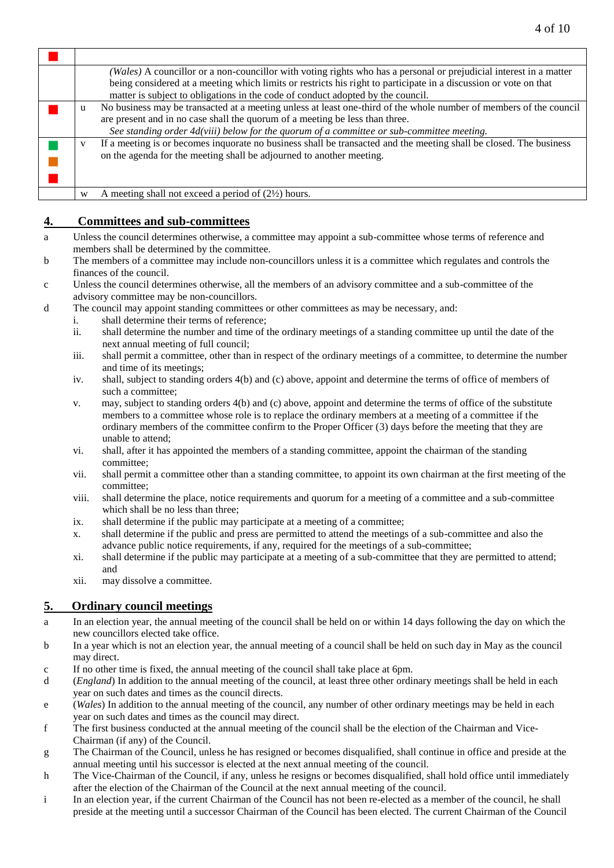|   | (Wales) A councillor or a non-councillor with voting rights who has a personal or prejudicial interest in a matter<br>being considered at a meeting which limits or restricts his right to participate in a discussion or vote on that<br>matter is subject to obligations in the code of conduct adopted by the council. |
|---|---------------------------------------------------------------------------------------------------------------------------------------------------------------------------------------------------------------------------------------------------------------------------------------------------------------------------|
| u | No business may be transacted at a meeting unless at least one-third of the whole number of members of the council<br>are present and in no case shall the quorum of a meeting be less than three.<br>See standing order $4d(viii)$ below for the quorum of a committee or sub-committee meeting.                         |
| v | If a meeting is or becomes inquorate no business shall be transacted and the meeting shall be closed. The business<br>on the agenda for the meeting shall be adjourned to another meeting.                                                                                                                                |
| W | A meeting shall not exceed a period of $(2\frac{1}{2})$ hours.                                                                                                                                                                                                                                                            |

# **4. Committees and sub-committees**

- a Unless the council determines otherwise, a committee may appoint a sub-committee whose terms of reference and members shall be determined by the committee.
- b The members of a committee may include non-councillors unless it is a committee which regulates and controls the finances of the council.
- c Unless the council determines otherwise, all the members of an advisory committee and a sub-committee of the advisory committee may be non-councillors.
- d The council may appoint standing committees or other committees as may be necessary, and:
	- i. shall determine their terms of reference;
	- ii. shall determine the number and time of the ordinary meetings of a standing committee up until the date of the next annual meeting of full council;
	- iii. shall permit a committee, other than in respect of the ordinary meetings of a committee, to determine the number and time of its meetings;
	- iv. shall, subject to standing orders 4(b) and (c) above, appoint and determine the terms of office of members of such a committee;
	- v. may, subject to standing orders 4(b) and (c) above, appoint and determine the terms of office of the substitute members to a committee whose role is to replace the ordinary members at a meeting of a committee if the ordinary members of the committee confirm to the Proper Officer (3) days before the meeting that they are unable to attend;
	- vi. shall, after it has appointed the members of a standing committee, appoint the chairman of the standing committee;
	- vii. shall permit a committee other than a standing committee, to appoint its own chairman at the first meeting of the committee;
	- viii. shall determine the place, notice requirements and quorum for a meeting of a committee and a sub-committee which shall be no less than three;
	- ix. shall determine if the public may participate at a meeting of a committee;
	- x. shall determine if the public and press are permitted to attend the meetings of a sub-committee and also the advance public notice requirements, if any, required for the meetings of a sub-committee;
	- xi. shall determine if the public may participate at a meeting of a sub-committee that they are permitted to attend; and
	- xii. may dissolve a committee.

## **5. Ordinary council meetings**

- a In an election year, the annual meeting of the council shall be held on or within 14 days following the day on which the new councillors elected take office.
- b In a year which is not an election year, the annual meeting of a council shall be held on such day in May as the council may direct.
- c If no other time is fixed, the annual meeting of the council shall take place at 6pm.
- d (*England*) In addition to the annual meeting of the council, at least three other ordinary meetings shall be held in each year on such dates and times as the council directs.
- e (*Wales*) In addition to the annual meeting of the council, any number of other ordinary meetings may be held in each year on such dates and times as the council may direct.
- f The first business conducted at the annual meeting of the council shall be the election of the Chairman and Vice-Chairman (if any) of the Council.
- g The Chairman of the Council, unless he has resigned or becomes disqualified, shall continue in office and preside at the annual meeting until his successor is elected at the next annual meeting of the council.
- h The Vice-Chairman of the Council, if any, unless he resigns or becomes disqualified, shall hold office until immediately after the election of the Chairman of the Council at the next annual meeting of the council.
- i In an election year, if the current Chairman of the Council has not been re-elected as a member of the council, he shall preside at the meeting until a successor Chairman of the Council has been elected. The current Chairman of the Council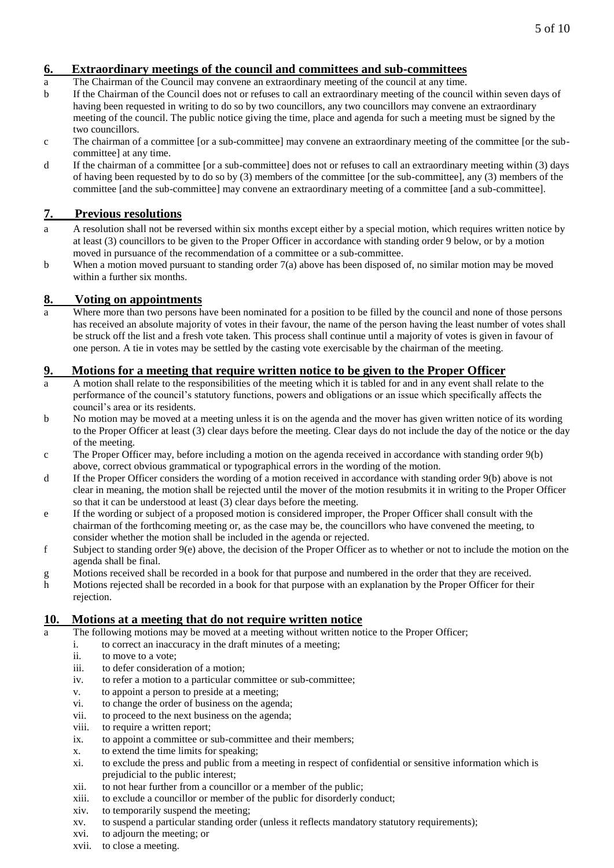## **6. Extraordinary meetings of the council and committees and sub-committees**

- a The Chairman of the Council may convene an extraordinary meeting of the council at any time.
- b If the Chairman of the Council does not or refuses to call an extraordinary meeting of the council within seven days of having been requested in writing to do so by two councillors, any two councillors may convene an extraordinary meeting of the council. The public notice giving the time, place and agenda for such a meeting must be signed by the two councillors.
- c The chairman of a committee [or a sub-committee] may convene an extraordinary meeting of the committee [or the subcommittee] at any time.
- d If the chairman of a committee [or a sub-committee] does not or refuses to call an extraordinary meeting within (3) days of having been requested by to do so by (3) members of the committee [or the sub-committee], any (3) members of the committee [and the sub-committee] may convene an extraordinary meeting of a committee [and a sub-committee].

# **7. Previous resolutions**

- a A resolution shall not be reversed within six months except either by a special motion, which requires written notice by at least (3) councillors to be given to the Proper Officer in accordance with standing order 9 below, or by a motion moved in pursuance of the recommendation of a committee or a sub-committee.
- b When a motion moved pursuant to standing order 7(a) above has been disposed of, no similar motion may be moved within a further six months.

## **8. Voting on appointments**

Where more than two persons have been nominated for a position to be filled by the council and none of those persons has received an absolute majority of votes in their favour, the name of the person having the least number of votes shall be struck off the list and a fresh vote taken. This process shall continue until a majority of votes is given in favour of one person. A tie in votes may be settled by the casting vote exercisable by the chairman of the meeting.

## **9. Motions for a meeting that require written notice to be given to the Proper Officer**

- a A motion shall relate to the responsibilities of the meeting which it is tabled for and in any event shall relate to the performance of the council's statutory functions, powers and obligations or an issue which specifically affects the council's area or its residents.
- b No motion may be moved at a meeting unless it is on the agenda and the mover has given written notice of its wording to the Proper Officer at least (3) clear days before the meeting. Clear days do not include the day of the notice or the day of the meeting.
- c The Proper Officer may, before including a motion on the agenda received in accordance with standing order 9(b) above, correct obvious grammatical or typographical errors in the wording of the motion.
- d If the Proper Officer considers the wording of a motion received in accordance with standing order 9(b) above is not clear in meaning, the motion shall be rejected until the mover of the motion resubmits it in writing to the Proper Officer so that it can be understood at least (3) clear days before the meeting.
- e If the wording or subject of a proposed motion is considered improper, the Proper Officer shall consult with the chairman of the forthcoming meeting or, as the case may be, the councillors who have convened the meeting, to consider whether the motion shall be included in the agenda or rejected.
- f Subject to standing order 9(e) above, the decision of the Proper Officer as to whether or not to include the motion on the agenda shall be final.
- g Motions received shall be recorded in a book for that purpose and numbered in the order that they are received.
- h Motions rejected shall be recorded in a book for that purpose with an explanation by the Proper Officer for their rejection.

#### **10. Motions at a meeting that do not require written notice**

- a The following motions may be moved at a meeting without written notice to the Proper Officer;
	- i. to correct an inaccuracy in the draft minutes of a meeting;
	- ii. to move to a vote;
	- iii. to defer consideration of a motion;
	- iv. to refer a motion to a particular committee or sub-committee;
	- v. to appoint a person to preside at a meeting;
	- vi. to change the order of business on the agenda;
	- vii. to proceed to the next business on the agenda;
	- viii. to require a written report;
	- ix. to appoint a committee or sub-committee and their members;
	- x. to extend the time limits for speaking;
	- xi. to exclude the press and public from a meeting in respect of confidential or sensitive information which is prejudicial to the public interest;
	- xii. to not hear further from a councillor or a member of the public;
	- xiii. to exclude a councillor or member of the public for disorderly conduct;
	- xiv. to temporarily suspend the meeting;
	- xv. to suspend a particular standing order (unless it reflects mandatory statutory requirements);
	- xvi. to adjourn the meeting; or
	- xvii. to close a meeting.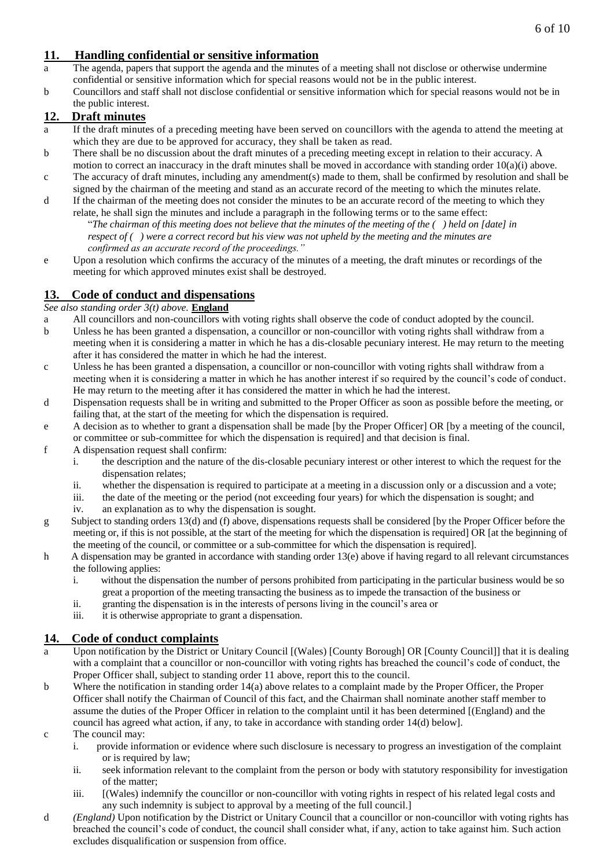# **11. Handling confidential or sensitive information**

- a The agenda, papers that support the agenda and the minutes of a meeting shall not disclose or otherwise undermine confidential or sensitive information which for special reasons would not be in the public interest.
- b Councillors and staff shall not disclose confidential or sensitive information which for special reasons would not be in the public interest.

# **12. Draft minutes**

- a If the draft minutes of a preceding meeting have been served on councillors with the agenda to attend the meeting at which they are due to be approved for accuracy, they shall be taken as read.
- b There shall be no discussion about the draft minutes of a preceding meeting except in relation to their accuracy. A motion to correct an inaccuracy in the draft minutes shall be moved in accordance with standing order  $10(a)(i)$  above.
- c The accuracy of draft minutes, including any amendment(s) made to them, shall be confirmed by resolution and shall be signed by the chairman of the meeting and stand as an accurate record of the meeting to which the minutes relate.
- d If the chairman of the meeting does not consider the minutes to be an accurate record of the meeting to which they relate, he shall sign the minutes and include a paragraph in the following terms or to the same effect:

"*The chairman of this meeting does not believe that the minutes of the meeting of the ( ) held on [date] in respect of ( ) were a correct record but his view was not upheld by the meeting and the minutes are confirmed as an accurate record of the proceedings."*

e Upon a resolution which confirms the accuracy of the minutes of a meeting, the draft minutes or recordings of the meeting for which approved minutes exist shall be destroyed.

# **13. Code of conduct and dispensations**

#### *See also standing order 3(t) above.* **England**

- a All councillors and non-councillors with voting rights shall observe the code of conduct adopted by the council.
- b Unless he has been granted a dispensation, a councillor or non-councillor with voting rights shall withdraw from a meeting when it is considering a matter in which he has a dis-closable pecuniary interest. He may return to the meeting after it has considered the matter in which he had the interest.
- c Unless he has been granted a dispensation, a councillor or non-councillor with voting rights shall withdraw from a meeting when it is considering a matter in which he has another interest if so required by the council's code of conduct. He may return to the meeting after it has considered the matter in which he had the interest.
- d Dispensation requests shall be in writing and submitted to the Proper Officer as soon as possible before the meeting, or failing that, at the start of the meeting for which the dispensation is required.
- e A decision as to whether to grant a dispensation shall be made [by the Proper Officer] OR [by a meeting of the council, or committee or sub-committee for which the dispensation is required] and that decision is final.
- f A dispensation request shall confirm:
	- i. the description and the nature of the dis-closable pecuniary interest or other interest to which the request for the dispensation relates;
	- ii. whether the dispensation is required to participate at a meeting in a discussion only or a discussion and a vote;
	- iii. the date of the meeting or the period (not exceeding four years) for which the dispensation is sought; and
	- iv. an explanation as to why the dispensation is sought.
- g Subject to standing orders 13(d) and (f) above, dispensations requests shall be considered [by the Proper Officer before the meeting or, if this is not possible, at the start of the meeting for which the dispensation is required] OR [at the beginning of the meeting of the council, or committee or a sub-committee for which the dispensation is required].
- h A dispensation may be granted in accordance with standing order 13(e) above if having regard to all relevant circumstances the following applies:
	- i. without the dispensation the number of persons prohibited from participating in the particular business would be so great a proportion of the meeting transacting the business as to impede the transaction of the business or
	- ii. granting the dispensation is in the interests of persons living in the council's area or
	- iii. it is otherwise appropriate to grant a dispensation.

# **14. Code of conduct complaints**

- a Upon notification by the District or Unitary Council [(Wales) [County Borough] OR [County Council]] that it is dealing with a complaint that a councillor or non-councillor with voting rights has breached the council's code of conduct, the Proper Officer shall, subject to standing order 11 above, report this to the council.
- b Where the notification in standing order 14(a) above relates to a complaint made by the Proper Officer, the Proper Officer shall notify the Chairman of Council of this fact, and the Chairman shall nominate another staff member to assume the duties of the Proper Officer in relation to the complaint until it has been determined [(England) and the council has agreed what action, if any, to take in accordance with standing order 14(d) below].
- c The council may:
	- i. provide information or evidence where such disclosure is necessary to progress an investigation of the complaint or is required by law;
	- ii. seek information relevant to the complaint from the person or body with statutory responsibility for investigation of the matter;
	- iii. [(Wales) indemnify the councillor or non-councillor with voting rights in respect of his related legal costs and any such indemnity is subject to approval by a meeting of the full council.]
- d *(England)* Upon notification by the District or Unitary Council that a councillor or non-councillor with voting rights has breached the council's code of conduct, the council shall consider what, if any, action to take against him. Such action excludes disqualification or suspension from office.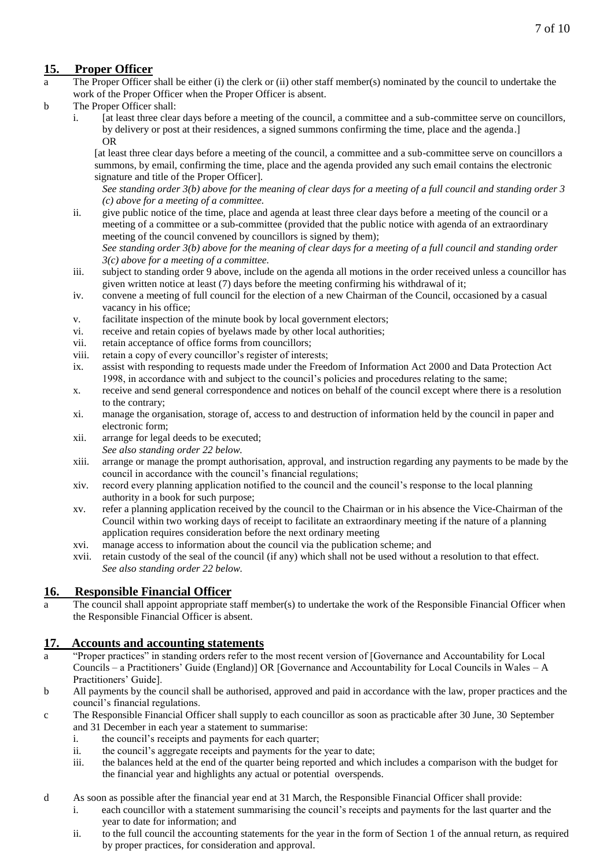# **15. Proper Officer**

- a The Proper Officer shall be either (i) the clerk or (ii) other staff member(s) nominated by the council to undertake the work of the Proper Officer when the Proper Officer is absent.
- b The Proper Officer shall:
	- i. [at least three clear days before a meeting of the council, a committee and a sub-committee serve on councillors, by delivery or post at their residences, a signed summons confirming the time, place and the agenda.] OR

[at least three clear days before a meeting of the council, a committee and a sub-committee serve on councillors a summons, by email, confirming the time, place and the agenda provided any such email contains the electronic signature and title of the Proper Officer].

*See standing order 3(b) above for the meaning of clear days for a meeting of a full council and standing order 3 (c) above for a meeting of a committee.*

ii. give public notice of the time, place and agenda at least three clear days before a meeting of the council or a meeting of a committee or a sub-committee (provided that the public notice with agenda of an extraordinary meeting of the council convened by councillors is signed by them);

*See standing order 3(b) above for the meaning of clear days for a meeting of a full council and standing order 3(c) above for a meeting of a committee.*

- iii. subject to standing order 9 above, include on the agenda all motions in the order received unless a councillor has given written notice at least (7) days before the meeting confirming his withdrawal of it;
- iv. convene a meeting of full council for the election of a new Chairman of the Council, occasioned by a casual vacancy in his office;
- v. facilitate inspection of the minute book by local government electors;
- vi. receive and retain copies of byelaws made by other local authorities;
- vii. retain acceptance of office forms from councillors;
- viii. retain a copy of every councillor's register of interests;
- ix. assist with responding to requests made under the Freedom of Information Act 2000 and Data Protection Act 1998, in accordance with and subject to the council's policies and procedures relating to the same;
- x. receive and send general correspondence and notices on behalf of the council except where there is a resolution to the contrary;
- xi. manage the organisation, storage of, access to and destruction of information held by the council in paper and electronic form;
- xii. arrange for legal deeds to be executed; *See also standing order 22 below.*
- xiii. arrange or manage the prompt authorisation, approval, and instruction regarding any payments to be made by the council in accordance with the council's financial regulations;
- xiv. record every planning application notified to the council and the council's response to the local planning authority in a book for such purpose;
- xv. refer a planning application received by the council to the Chairman or in his absence the Vice-Chairman of the Council within two working days of receipt to facilitate an extraordinary meeting if the nature of a planning application requires consideration before the next ordinary meeting
- xvi. manage access to information about the council via the publication scheme; and
- xvii. retain custody of the seal of the council (if any) which shall not be used without a resolution to that effect. *See also standing order 22 below.*

## **16. Responsible Financial Officer**

a The council shall appoint appropriate staff member(s) to undertake the work of the Responsible Financial Officer when the Responsible Financial Officer is absent.

## **17. Accounts and accounting statements**

- a "Proper practices" in standing orders refer to the most recent version of [Governance and Accountability for Local Councils – a Practitioners' Guide (England)] OR [Governance and Accountability for Local Councils in Wales – A Practitioners' Guide].
- b All payments by the council shall be authorised, approved and paid in accordance with the law, proper practices and the council's financial regulations.
- c The Responsible Financial Officer shall supply to each councillor as soon as practicable after 30 June, 30 September and 31 December in each year a statement to summarise:
	- i. the council's receipts and payments for each quarter;
	- ii. the council's aggregate receipts and payments for the year to date;
	- iii. the balances held at the end of the quarter being reported and which includes a comparison with the budget for the financial year and highlights any actual or potential overspends.
- d As soon as possible after the financial year end at 31 March, the Responsible Financial Officer shall provide:
	- i. each councillor with a statement summarising the council's receipts and payments for the last quarter and the year to date for information; and
	- ii. to the full council the accounting statements for the year in the form of Section 1 of the annual return, as required by proper practices, for consideration and approval.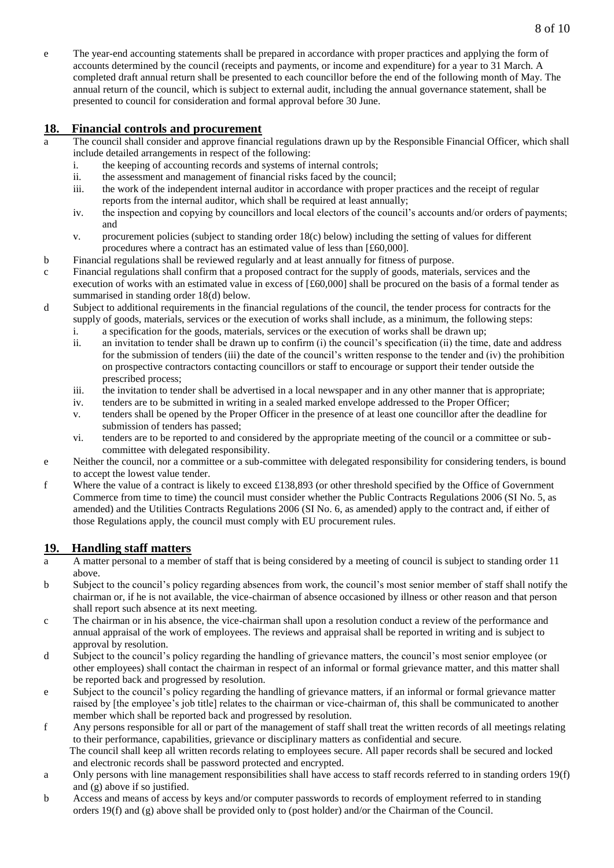e The year-end accounting statements shall be prepared in accordance with proper practices and applying the form of accounts determined by the council (receipts and payments, or income and expenditure) for a year to 31 March. A completed draft annual return shall be presented to each councillor before the end of the following month of May. The annual return of the council, which is subject to external audit, including the annual governance statement, shall be presented to council for consideration and formal approval before 30 June.

## **18. Financial controls and procurement**

- The council shall consider and approve financial regulations drawn up by the Responsible Financial Officer, which shall include detailed arrangements in respect of the following:
	- i. the keeping of accounting records and systems of internal controls;
	- ii. the assessment and management of financial risks faced by the council;
	- iii. the work of the independent internal auditor in accordance with proper practices and the receipt of regular reports from the internal auditor, which shall be required at least annually;
	- iv. the inspection and copying by councillors and local electors of the council's accounts and/or orders of payments; and
	- v. procurement policies (subject to standing order 18(c) below) including the setting of values for different procedures where a contract has an estimated value of less than [£60,000].
- b Financial regulations shall be reviewed regularly and at least annually for fitness of purpose.
- c Financial regulations shall confirm that a proposed contract for the supply of goods, materials, services and the execution of works with an estimated value in excess of  $[£60,000]$  shall be procured on the basis of a formal tender as summarised in standing order 18(d) below.
- d Subject to additional requirements in the financial regulations of the council, the tender process for contracts for the supply of goods, materials, services or the execution of works shall include, as a minimum, the following steps:
	- i. a specification for the goods, materials, services or the execution of works shall be drawn up;
	- ii. an invitation to tender shall be drawn up to confirm (i) the council's specification (ii) the time, date and address for the submission of tenders (iii) the date of the council's written response to the tender and (iv) the prohibition on prospective contractors contacting councillors or staff to encourage or support their tender outside the prescribed process;
	- iii. the invitation to tender shall be advertised in a local newspaper and in any other manner that is appropriate;
	- iv. tenders are to be submitted in writing in a sealed marked envelope addressed to the Proper Officer;
	- v. tenders shall be opened by the Proper Officer in the presence of at least one councillor after the deadline for submission of tenders has passed;
	- vi. tenders are to be reported to and considered by the appropriate meeting of the council or a committee or subcommittee with delegated responsibility.
- e Neither the council, nor a committee or a sub-committee with delegated responsibility for considering tenders, is bound to accept the lowest value tender.
- f Where the value of a contract is likely to exceed £138,893 (or other threshold specified by the Office of Government Commerce from time to time) the council must consider whether the Public Contracts Regulations 2006 (SI No. 5, as amended) and the Utilities Contracts Regulations 2006 (SI No. 6, as amended) apply to the contract and, if either of those Regulations apply, the council must comply with EU procurement rules.

# **19. Handling staff matters**

- a A matter personal to a member of staff that is being considered by a meeting of council is subject to standing order 11 above.
- b Subject to the council's policy regarding absences from work, the council's most senior member of staff shall notify the chairman or, if he is not available, the vice-chairman of absence occasioned by illness or other reason and that person shall report such absence at its next meeting.
- c The chairman or in his absence, the vice-chairman shall upon a resolution conduct a review of the performance and annual appraisal of the work of employees. The reviews and appraisal shall be reported in writing and is subject to approval by resolution.
- d Subject to the council's policy regarding the handling of grievance matters, the council's most senior employee (or other employees) shall contact the chairman in respect of an informal or formal grievance matter, and this matter shall be reported back and progressed by resolution.
- e Subject to the council's policy regarding the handling of grievance matters, if an informal or formal grievance matter raised by [the employee's job title] relates to the chairman or vice-chairman of, this shall be communicated to another member which shall be reported back and progressed by resolution.
- f Any persons responsible for all or part of the management of staff shall treat the written records of all meetings relating to their performance, capabilities, grievance or disciplinary matters as confidential and secure. The council shall keep all written records relating to employees secure. All paper records shall be secured and locked and electronic records shall be password protected and encrypted.
- a Only persons with line management responsibilities shall have access to staff records referred to in standing orders 19(f) and (g) above if so justified.
- b Access and means of access by keys and/or computer passwords to records of employment referred to in standing orders 19(f) and (g) above shall be provided only to (post holder) and/or the Chairman of the Council.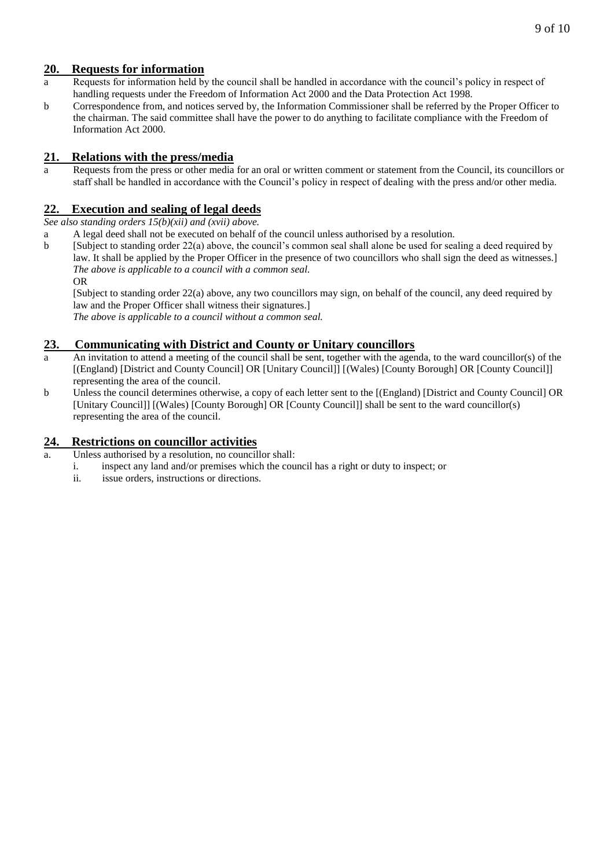## **20. Requests for information**

- a Requests for information held by the council shall be handled in accordance with the council's policy in respect of handling requests under the Freedom of Information Act 2000 and the Data Protection Act 1998.
- b Correspondence from, and notices served by, the Information Commissioner shall be referred by the Proper Officer to the chairman. The said committee shall have the power to do anything to facilitate compliance with the Freedom of Information Act 2000.

## **21. Relations with the press/media**

a Requests from the press or other media for an oral or written comment or statement from the Council, its councillors or staff shall be handled in accordance with the Council's policy in respect of dealing with the press and/or other media.

# **22. Execution and sealing of legal deeds**

*See also standing orders 15(b)(xii) and (xvii) above.*

- a A legal deed shall not be executed on behalf of the council unless authorised by a resolution.
- b [Subject to standing order 22(a) above, the council's common seal shall alone be used for sealing a deed required by law. It shall be applied by the Proper Officer in the presence of two councillors who shall sign the deed as witnesses.] *The above is applicable to a council with a common seal.* OR

[Subject to standing order 22(a) above, any two councillors may sign, on behalf of the council, any deed required by law and the Proper Officer shall witness their signatures.]

*The above is applicable to a council without a common seal.*

## **23. Communicating with District and County or Unitary councillors**

- a An invitation to attend a meeting of the council shall be sent, together with the agenda, to the ward councillor(s) of the [(England) [District and County Council] OR [Unitary Council]] [(Wales) [County Borough] OR [County Council]] representing the area of the council.
- b Unless the council determines otherwise, a copy of each letter sent to the [(England) [District and County Council] OR [Unitary Council]] [(Wales) [County Borough] OR [County Council]] shall be sent to the ward councillor(s) representing the area of the council.

## **24. Restrictions on councillor activities**

- Unless authorised by a resolution, no councillor shall:
	- i. inspect any land and/or premises which the council has a right or duty to inspect; or
	- ii. issue orders, instructions or directions.